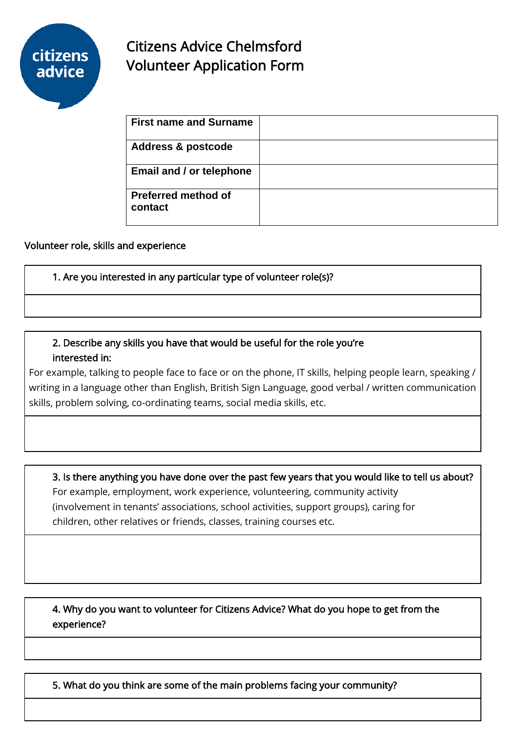

# Citizens Advice Chelmsford Volunteer Application Form

| <b>First name and Surname</b>         |  |
|---------------------------------------|--|
| <b>Address &amp; postcode</b>         |  |
| Email and / or telephone              |  |
| <b>Preferred method of</b><br>contact |  |

#### Volunteer role, skills and experience

1. Are you interested in any particular type of volunteer role(s)?

## 2. Describe any skills you have that would be useful for the role you're interested in:

For example, talking to people face to face or on the phone, IT skills, helping people learn, speaking / writing in a language other than English, British Sign Language, good verbal / written communication skills, problem solving, co-ordinating teams, social media skills, etc.

3. Is there anything you have done over the past few years that you would like to tell us about? For example, employment, work experience, volunteering, community activity (involvement in tenants' associations, school activities, support groups), caring for children, other relatives or friends, classes, training courses etc.

4. Why do you want to volunteer for Citizens Advice? What do you hope to get from the experience?

5. What do you think are some of the main problems facing your community?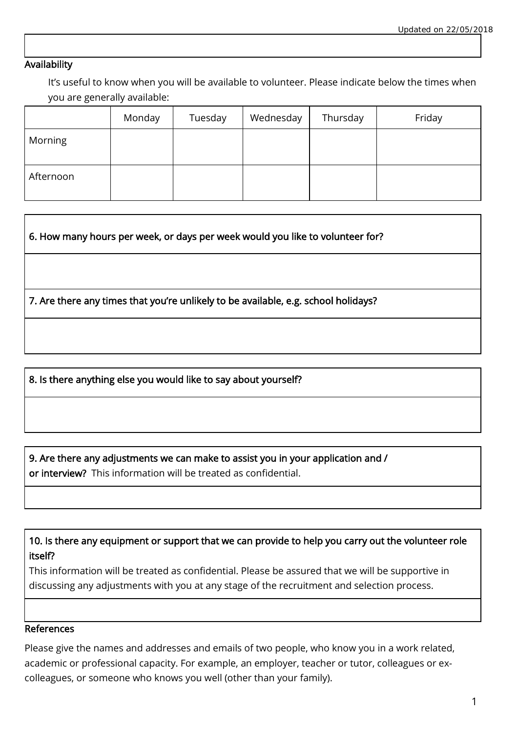#### Availability

It's useful to know when you will be available to volunteer. Please indicate below the times when you are generally available:

|           | Monday | Tuesday | Wednesday | Thursday | Friday |
|-----------|--------|---------|-----------|----------|--------|
| Morning   |        |         |           |          |        |
| Afternoon |        |         |           |          |        |

6. How many hours per week, or days per week would you like to volunteer for?

7. Are there any times that you're unlikely to be available, e.g. school holidays?

8. Is there anything else you would like to say about yourself?

9. Are there any adjustments we can make to assist you in your application and /

or interview? This information will be treated as confidential.

10. Is there any equipment or support that we can provide to help you carry out the volunteer role itself?

This information will be treated as confidential. Please be assured that we will be supportive in discussing any adjustments with you at any stage of the recruitment and selection process.

#### References

Please give the names and addresses and emails of two people, who know you in a work related, academic or professional capacity. For example, an employer, teacher or tutor, colleagues or excolleagues, or someone who knows you well (other than your family).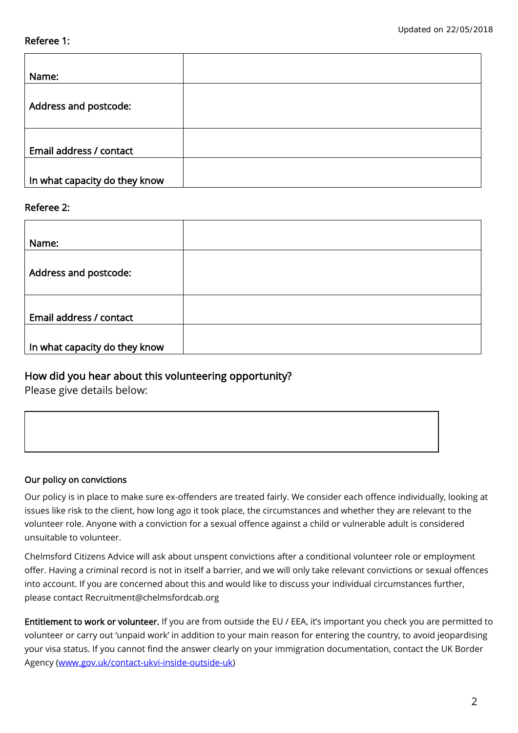#### Referee 1:

| Name:                         |  |
|-------------------------------|--|
| Address and postcode:         |  |
| Email address / contact       |  |
| In what capacity do they know |  |

#### Referee 2:

| Name:                         |  |
|-------------------------------|--|
|                               |  |
| Address and postcode:         |  |
|                               |  |
|                               |  |
| Email address / contact       |  |
|                               |  |
| In what capacity do they know |  |

### How did you hear about this volunteering opportunity?

Please give details below:

#### Our policy on convictions

Our policy is in place to make sure ex-offenders are treated fairly. We consider each offence individually, looking at issues like risk to the client, how long ago it took place, the circumstances and whether they are relevant to the volunteer role. Anyone with a conviction for a sexual offence against a child or vulnerable adult is considered unsuitable to volunteer.

Chelmsford Citizens Advice will ask about unspent convictions after a conditional volunteer role or employment offer. Having a criminal record is not in itself a barrier, and we will only take relevant convictions or sexual offences into account. If you are concerned about this and would like to discuss your individual circumstances further, please contact Recruitment@chelmsfordcab.org

Entitlement to work or volunteer. If you are from outside the EU / EEA, it's important you check you are permitted to volunteer or carry out 'unpaid work' in addition to your main reason for entering the country, to avoid jeopardising your visa status. If you cannot find the answer clearly on your immigration documentation, contact the UK Border Agency [\(www.gov.uk/contact-ukvi-inside-outside-uk\)](http://www.gov.uk/contact-ukvi-inside-outside-uk)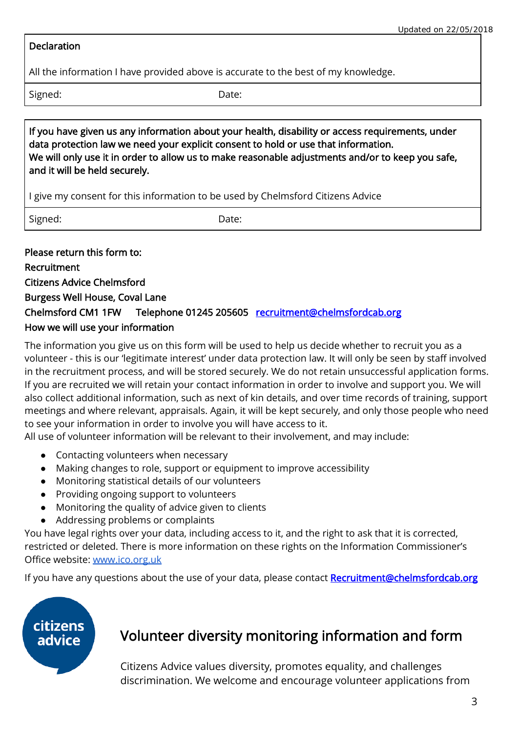#### **Declaration**

All the information I have provided above is accurate to the best of my knowledge.

Signed: Date:

If you have given us any information about your health, disability or access requirements, under data protection law we need your explicit consent to hold or use that information. We will only use it in order to allow us to make reasonable adjustments and/or to keep you safe, and it will be held securely.

I give my consent for this information to be used by Chelmsford Citizens Advice

Signed: Date:

Please return this form to: Recruitment Citizens Advice Chelmsford Burgess Well House, Coval Lane Chelmsford CM1 1FW Telephone 01245 205605 [recruitment@chelmsfordcab.org](mailto:recruitment@chelmsfordcab.org) How we will use your information

The information you give us on this form will be used to help us decide whether to recruit you as a volunteer - this is our 'legitimate interest' under data protection law. It will only be seen by staff involved in the recruitment process, and will be stored securely. We do not retain unsuccessful application forms. If you are recruited we will retain your contact information in order to involve and support you. We will also collect additional information, such as next of kin details, and over time records of training, support meetings and where relevant, appraisals. Again, it will be kept securely, and only those people who need to see your information in order to involve you will have access to it.

All use of volunteer information will be relevant to their involvement, and may include:

- Contacting volunteers when necessary
- Making changes to role, support or equipment to improve accessibility
- Monitoring statistical details of our volunteers
- Providing ongoing support to volunteers
- Monitoring the quality of advice given to clients
- Addressing problems or complaints

You have legal rights over your data, including access to it, and the right to ask that it is corrected, restricted or deleted. There is more information on these rights on the Information Commissioner's Office website: [www.ico.org.uk](http://www.ico.org.uk/)

If you have any questions about the use of your data, please contact Recruitment@chelmsfordcab.org



# Volunteer diversity monitoring information and form

Citizens Advice values diversity, promotes equality, and challenges discrimination. We welcome and encourage volunteer applications from